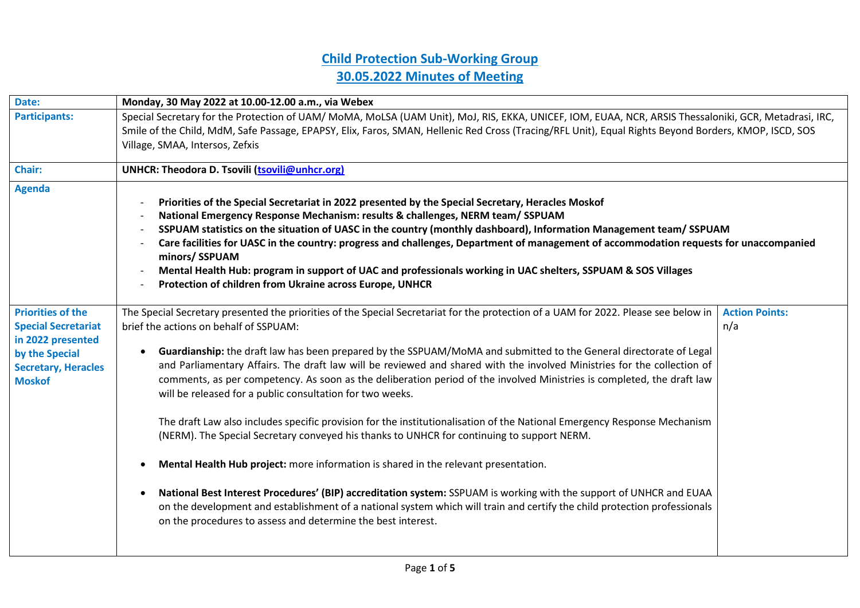## **Child Protection Sub-Working Group 30.05.2022 Minutes of Meeting**

| Monday, 30 May 2022 at 10.00-12.00 a.m., via Webex                                                                                                                                                                                                                                                                                                                                                                                                                                                                                                                                                                                                                                                                                                                                                                                                                                                                                                                                                                                                                                                                                                                                                                                                         |                                 |  |
|------------------------------------------------------------------------------------------------------------------------------------------------------------------------------------------------------------------------------------------------------------------------------------------------------------------------------------------------------------------------------------------------------------------------------------------------------------------------------------------------------------------------------------------------------------------------------------------------------------------------------------------------------------------------------------------------------------------------------------------------------------------------------------------------------------------------------------------------------------------------------------------------------------------------------------------------------------------------------------------------------------------------------------------------------------------------------------------------------------------------------------------------------------------------------------------------------------------------------------------------------------|---------------------------------|--|
| Special Secretary for the Protection of UAM/ MoMA, MoLSA (UAM Unit), MoJ, RIS, EKKA, UNICEF, IOM, EUAA, NCR, ARSIS Thessaloniki, GCR, Metadrasi, IRC,                                                                                                                                                                                                                                                                                                                                                                                                                                                                                                                                                                                                                                                                                                                                                                                                                                                                                                                                                                                                                                                                                                      |                                 |  |
| Smile of the Child, MdM, Safe Passage, EPAPSY, Elix, Faros, SMAN, Hellenic Red Cross (Tracing/RFL Unit), Equal Rights Beyond Borders, KMOP, ISCD, SOS                                                                                                                                                                                                                                                                                                                                                                                                                                                                                                                                                                                                                                                                                                                                                                                                                                                                                                                                                                                                                                                                                                      |                                 |  |
|                                                                                                                                                                                                                                                                                                                                                                                                                                                                                                                                                                                                                                                                                                                                                                                                                                                                                                                                                                                                                                                                                                                                                                                                                                                            |                                 |  |
| UNHCR: Theodora D. Tsovili (tsovili@unhcr.org)                                                                                                                                                                                                                                                                                                                                                                                                                                                                                                                                                                                                                                                                                                                                                                                                                                                                                                                                                                                                                                                                                                                                                                                                             |                                 |  |
| Priorities of the Special Secretariat in 2022 presented by the Special Secretary, Heracles Moskof<br>National Emergency Response Mechanism: results & challenges, NERM team/ SSPUAM<br>SSPUAM statistics on the situation of UASC in the country (monthly dashboard), Information Management team/SSPUAM<br>Care facilities for UASC in the country: progress and challenges, Department of management of accommodation requests for unaccompanied<br>minors/ SSPUAM<br>Mental Health Hub: program in support of UAC and professionals working in UAC shelters, SSPUAM & SOS Villages<br>Protection of children from Ukraine across Europe, UNHCR                                                                                                                                                                                                                                                                                                                                                                                                                                                                                                                                                                                                          |                                 |  |
| The Special Secretary presented the priorities of the Special Secretariat for the protection of a UAM for 2022. Please see below in<br>brief the actions on behalf of SSPUAM:<br>Guardianship: the draft law has been prepared by the SSPUAM/MoMA and submitted to the General directorate of Legal<br>and Parliamentary Affairs. The draft law will be reviewed and shared with the involved Ministries for the collection of<br>comments, as per competency. As soon as the deliberation period of the involved Ministries is completed, the draft law<br>will be released for a public consultation for two weeks.<br>The draft Law also includes specific provision for the institutionalisation of the National Emergency Response Mechanism<br>(NERM). The Special Secretary conveyed his thanks to UNHCR for continuing to support NERM.<br>Mental Health Hub project: more information is shared in the relevant presentation.<br>National Best Interest Procedures' (BIP) accreditation system: SSPUAM is working with the support of UNHCR and EUAA<br>on the development and establishment of a national system which will train and certify the child protection professionals<br>on the procedures to assess and determine the best interest. | <b>Action Points:</b><br>n/a    |  |
|                                                                                                                                                                                                                                                                                                                                                                                                                                                                                                                                                                                                                                                                                                                                                                                                                                                                                                                                                                                                                                                                                                                                                                                                                                                            | Village, SMAA, Intersos, Zefxis |  |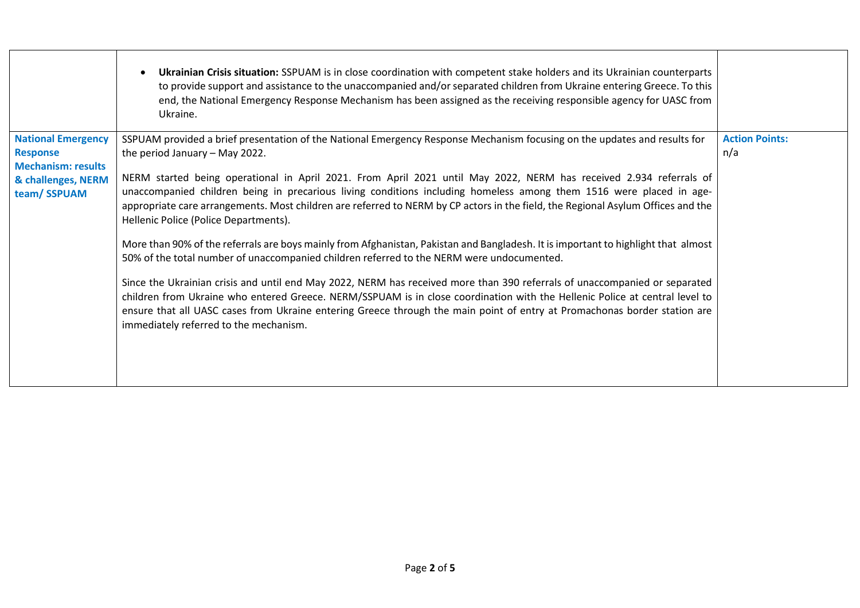|                                                                                                                | Ukrainian Crisis situation: SSPUAM is in close coordination with competent stake holders and its Ukrainian counterparts<br>to provide support and assistance to the unaccompanied and/or separated children from Ukraine entering Greece. To this<br>end, the National Emergency Response Mechanism has been assigned as the receiving responsible agency for UASC from<br>Ukraine.                                                                                                                                                                                                                                                                                                                                                                                                                                                                                                                                                                                                                                                                                                                                                                                                                                                                          |                              |
|----------------------------------------------------------------------------------------------------------------|--------------------------------------------------------------------------------------------------------------------------------------------------------------------------------------------------------------------------------------------------------------------------------------------------------------------------------------------------------------------------------------------------------------------------------------------------------------------------------------------------------------------------------------------------------------------------------------------------------------------------------------------------------------------------------------------------------------------------------------------------------------------------------------------------------------------------------------------------------------------------------------------------------------------------------------------------------------------------------------------------------------------------------------------------------------------------------------------------------------------------------------------------------------------------------------------------------------------------------------------------------------|------------------------------|
| <b>National Emergency</b><br><b>Response</b><br><b>Mechanism: results</b><br>& challenges, NERM<br>team/SSPUAM | SSPUAM provided a brief presentation of the National Emergency Response Mechanism focusing on the updates and results for<br>the period January - May 2022.<br>NERM started being operational in April 2021. From April 2021 until May 2022, NERM has received 2.934 referrals of<br>unaccompanied children being in precarious living conditions including homeless among them 1516 were placed in age-<br>appropriate care arrangements. Most children are referred to NERM by CP actors in the field, the Regional Asylum Offices and the<br>Hellenic Police (Police Departments).<br>More than 90% of the referrals are boys mainly from Afghanistan, Pakistan and Bangladesh. It is important to highlight that almost<br>50% of the total number of unaccompanied children referred to the NERM were undocumented.<br>Since the Ukrainian crisis and until end May 2022, NERM has received more than 390 referrals of unaccompanied or separated<br>children from Ukraine who entered Greece. NERM/SSPUAM is in close coordination with the Hellenic Police at central level to<br>ensure that all UASC cases from Ukraine entering Greece through the main point of entry at Promachonas border station are<br>immediately referred to the mechanism. | <b>Action Points:</b><br>n/a |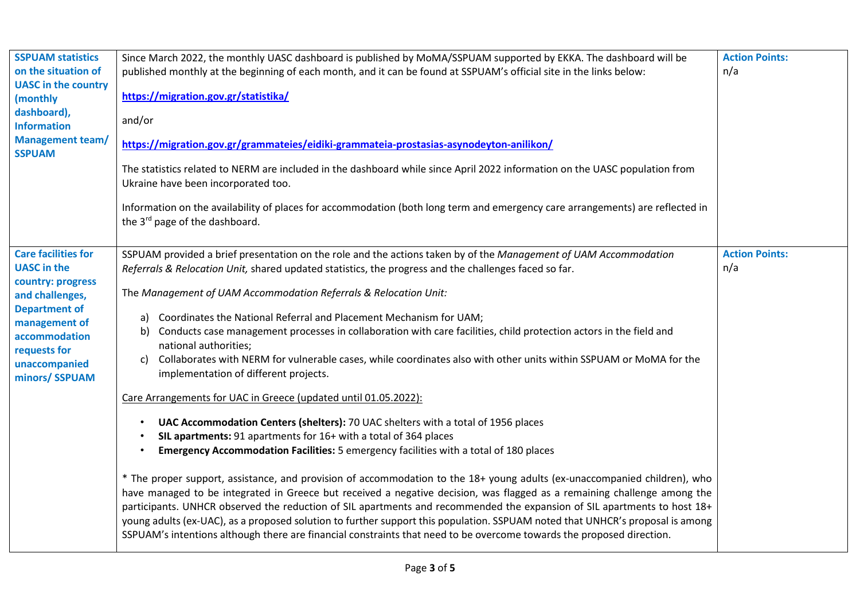| <b>SSPUAM statistics</b><br>on the situation of<br><b>UASC</b> in the country<br>(monthly<br>dashboard),<br><b>Information</b><br><b>Management team/</b><br><b>SSPUAM</b>                            | Since March 2022, the monthly UASC dashboard is published by MoMA/SSPUAM supported by EKKA. The dashboard will be<br>published monthly at the beginning of each month, and it can be found at SSPUAM's official site in the links below:<br>https://migration.gov.gr/statistika/<br>and/or<br>https://migration.gov.gr/grammateies/eidiki-grammateia-prostasias-asynodeyton-anilikon/<br>The statistics related to NERM are included in the dashboard while since April 2022 information on the UASC population from<br>Ukraine have been incorporated too.<br>Information on the availability of places for accommodation (both long term and emergency care arrangements) are reflected in<br>the 3 <sup>rd</sup> page of the dashboard.                                                                                                                                                                                                                                                                                                                                                                                                                                                                                                                                                                                                                                                                                                                                                                                                                                                                                                                                        | <b>Action Points:</b><br>n/a |
|-------------------------------------------------------------------------------------------------------------------------------------------------------------------------------------------------------|-----------------------------------------------------------------------------------------------------------------------------------------------------------------------------------------------------------------------------------------------------------------------------------------------------------------------------------------------------------------------------------------------------------------------------------------------------------------------------------------------------------------------------------------------------------------------------------------------------------------------------------------------------------------------------------------------------------------------------------------------------------------------------------------------------------------------------------------------------------------------------------------------------------------------------------------------------------------------------------------------------------------------------------------------------------------------------------------------------------------------------------------------------------------------------------------------------------------------------------------------------------------------------------------------------------------------------------------------------------------------------------------------------------------------------------------------------------------------------------------------------------------------------------------------------------------------------------------------------------------------------------------------------------------------------------|------------------------------|
| <b>Care facilities for</b><br><b>UASC</b> in the<br>country: progress<br>and challenges,<br><b>Department of</b><br>management of<br>accommodation<br>requests for<br>unaccompanied<br>minors/ SSPUAM | SSPUAM provided a brief presentation on the role and the actions taken by of the Management of UAM Accommodation<br>Referrals & Relocation Unit, shared updated statistics, the progress and the challenges faced so far.<br>The Management of UAM Accommodation Referrals & Relocation Unit:<br>a) Coordinates the National Referral and Placement Mechanism for UAM;<br>Conducts case management processes in collaboration with care facilities, child protection actors in the field and<br>b)<br>national authorities;<br>Collaborates with NERM for vulnerable cases, while coordinates also with other units within SSPUAM or MoMA for the<br>C)<br>implementation of different projects.<br>Care Arrangements for UAC in Greece (updated until 01.05.2022):<br>UAC Accommodation Centers (shelters): 70 UAC shelters with a total of 1956 places<br>$\bullet$<br>SIL apartments: 91 apartments for 16+ with a total of 364 places<br>Emergency Accommodation Facilities: 5 emergency facilities with a total of 180 places<br>* The proper support, assistance, and provision of accommodation to the 18+ young adults (ex-unaccompanied children), who<br>have managed to be integrated in Greece but received a negative decision, was flagged as a remaining challenge among the<br>participants. UNHCR observed the reduction of SIL apartments and recommended the expansion of SIL apartments to host 18+<br>young adults (ex-UAC), as a proposed solution to further support this population. SSPUAM noted that UNHCR's proposal is among<br>SSPUAM's intentions although there are financial constraints that need to be overcome towards the proposed direction. | <b>Action Points:</b><br>n/a |